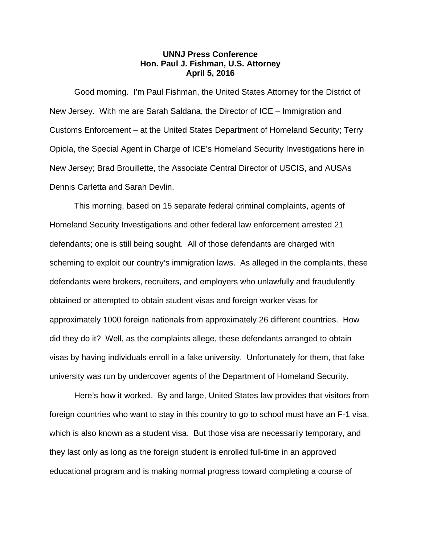## **UNNJ Press Conference Hon. Paul J. Fishman, U.S. Attorney April 5, 2016**

 Good morning. I'm Paul Fishman, the United States Attorney for the District of New Jersey. With me are Sarah Saldana, the Director of ICE – Immigration and Customs Enforcement – at the United States Department of Homeland Security; Terry Opiola, the Special Agent in Charge of ICE's Homeland Security Investigations here in New Jersey; Brad Brouillette, the Associate Central Director of USCIS, and AUSAs Dennis Carletta and Sarah Devlin.

This morning, based on 15 separate federal criminal complaints, agents of Homeland Security Investigations and other federal law enforcement arrested 21 defendants; one is still being sought. All of those defendants are charged with scheming to exploit our country's immigration laws. As alleged in the complaints, these defendants were brokers, recruiters, and employers who unlawfully and fraudulently obtained or attempted to obtain student visas and foreign worker visas for approximately 1000 foreign nationals from approximately 26 different countries. How did they do it? Well, as the complaints allege, these defendants arranged to obtain visas by having individuals enroll in a fake university. Unfortunately for them, that fake university was run by undercover agents of the Department of Homeland Security.

 Here's how it worked. By and large, United States law provides that visitors from foreign countries who want to stay in this country to go to school must have an F-1 visa, which is also known as a student visa. But those visa are necessarily temporary, and they last only as long as the foreign student is enrolled full-time in an approved educational program and is making normal progress toward completing a course of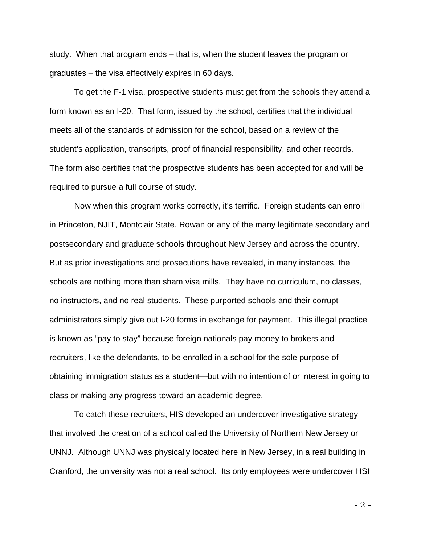study. When that program ends – that is, when the student leaves the program or graduates – the visa effectively expires in 60 days.

To get the F-1 visa, prospective students must get from the schools they attend a form known as an I-20. That form, issued by the school, certifies that the individual meets all of the standards of admission for the school, based on a review of the student's application, transcripts, proof of financial responsibility, and other records. The form also certifies that the prospective students has been accepted for and will be required to pursue a full course of study.

Now when this program works correctly, it's terrific. Foreign students can enroll in Princeton, NJIT, Montclair State, Rowan or any of the many legitimate secondary and postsecondary and graduate schools throughout New Jersey and across the country. But as prior investigations and prosecutions have revealed, in many instances, the schools are nothing more than sham visa mills. They have no curriculum, no classes, no instructors, and no real students. These purported schools and their corrupt administrators simply give out I-20 forms in exchange for payment. This illegal practice is known as "pay to stay" because foreign nationals pay money to brokers and recruiters, like the defendants, to be enrolled in a school for the sole purpose of obtaining immigration status as a student—but with no intention of or interest in going to class or making any progress toward an academic degree.

To catch these recruiters, HIS developed an undercover investigative strategy that involved the creation of a school called the University of Northern New Jersey or UNNJ. Although UNNJ was physically located here in New Jersey, in a real building in Cranford, the university was not a real school. Its only employees were undercover HSI

- 2 -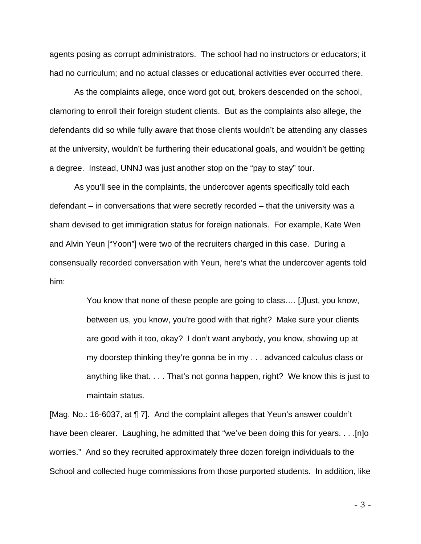agents posing as corrupt administrators. The school had no instructors or educators; it had no curriculum; and no actual classes or educational activities ever occurred there.

As the complaints allege, once word got out, brokers descended on the school, clamoring to enroll their foreign student clients. But as the complaints also allege, the defendants did so while fully aware that those clients wouldn't be attending any classes at the university, wouldn't be furthering their educational goals, and wouldn't be getting a degree. Instead, UNNJ was just another stop on the "pay to stay" tour.

 As you'll see in the complaints, the undercover agents specifically told each defendant – in conversations that were secretly recorded – that the university was a sham devised to get immigration status for foreign nationals. For example, Kate Wen and Alvin Yeun ["Yoon"] were two of the recruiters charged in this case. During a consensually recorded conversation with Yeun, here's what the undercover agents told him:

> You know that none of these people are going to class…. [J]ust, you know, between us, you know, you're good with that right? Make sure your clients are good with it too, okay? I don't want anybody, you know, showing up at my doorstep thinking they're gonna be in my . . . advanced calculus class or anything like that. . . . That's not gonna happen, right? We know this is just to maintain status.

[Mag. No.: 16-6037, at ¶ 7]. And the complaint alleges that Yeun's answer couldn't have been clearer. Laughing, he admitted that "we've been doing this for years. . . .[n]o worries." And so they recruited approximately three dozen foreign individuals to the School and collected huge commissions from those purported students. In addition, like

- 3 -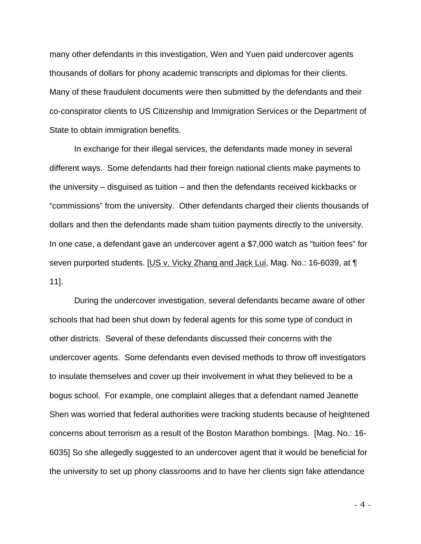many other defendants in this investigation, Wen and Yuen paid undercover agents thousands of dollars for phony academic transcripts and diplomas for their clients. Many of these fraudulent documents were then submitted by the defendants and their co-conspirator clients to US Citizenship and Immigration Services or the Department of State to obtain immigration benefits.

 In exchange for their illegal services, the defendants made money in several different ways. Some defendants had their foreign national clients make payments to the university – disguised as tuition – and then the defendants received kickbacks or "commissions" from the university. Other defendants charged their clients thousands of dollars and then the defendants made sham tuition payments directly to the university. In one case, a defendant gave an undercover agent a \$7,000 watch as "tuition fees" for seven purported students. [US v. Vicky Zhang and Jack Lui, Mag. No.: 16-6039, at ¶ 11].

 During the undercover investigation, several defendants became aware of other schools that had been shut down by federal agents for this some type of conduct in other districts. Several of these defendants discussed their concerns with the undercover agents. Some defendants even devised methods to throw off investigators to insulate themselves and cover up their involvement in what they believed to be a bogus school. For example, one complaint alleges that a defendant named Jeanette Shen was worried that federal authorities were tracking students because of heightened concerns about terrorism as a result of the Boston Marathon bombings. [Mag. No.: 16- 6035] So she allegedly suggested to an undercover agent that it would be beneficial for the university to set up phony classrooms and to have her clients sign fake attendance

- 4 -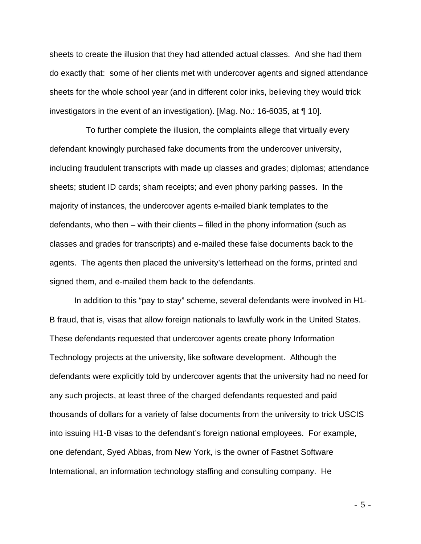sheets to create the illusion that they had attended actual classes. And she had them do exactly that: some of her clients met with undercover agents and signed attendance sheets for the whole school year (and in different color inks, believing they would trick investigators in the event of an investigation). [Mag. No.: 16-6035, at ¶ 10].

 To further complete the illusion, the complaints allege that virtually every defendant knowingly purchased fake documents from the undercover university, including fraudulent transcripts with made up classes and grades; diplomas; attendance sheets; student ID cards; sham receipts; and even phony parking passes. In the majority of instances, the undercover agents e-mailed blank templates to the defendants, who then – with their clients – filled in the phony information (such as classes and grades for transcripts) and e-mailed these false documents back to the agents. The agents then placed the university's letterhead on the forms, printed and signed them, and e-mailed them back to the defendants.

 In addition to this "pay to stay" scheme, several defendants were involved in H1- B fraud, that is, visas that allow foreign nationals to lawfully work in the United States. These defendants requested that undercover agents create phony Information Technology projects at the university, like software development. Although the defendants were explicitly told by undercover agents that the university had no need for any such projects, at least three of the charged defendants requested and paid thousands of dollars for a variety of false documents from the university to trick USCIS into issuing H1-B visas to the defendant's foreign national employees. For example, one defendant, Syed Abbas, from New York, is the owner of Fastnet Software International, an information technology staffing and consulting company. He

- 5 -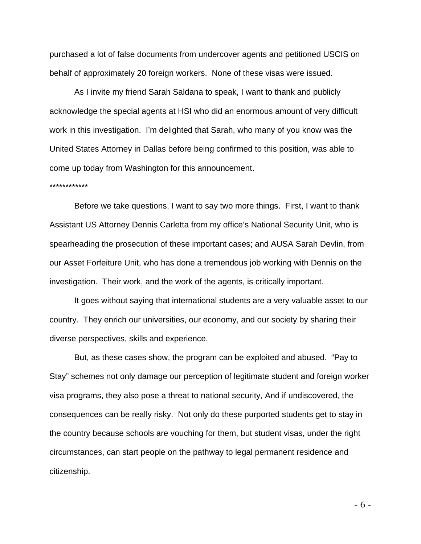purchased a lot of false documents from undercover agents and petitioned USCIS on behalf of approximately 20 foreign workers. None of these visas were issued.

 As I invite my friend Sarah Saldana to speak, I want to thank and publicly acknowledge the special agents at HSI who did an enormous amount of very difficult work in this investigation. I'm delighted that Sarah, who many of you know was the United States Attorney in Dallas before being confirmed to this position, was able to come up today from Washington for this announcement.

## \*\*\*\*\*\*\*\*\*\*\*\*

Before we take questions, I want to say two more things. First, I want to thank Assistant US Attorney Dennis Carletta from my office's National Security Unit, who is spearheading the prosecution of these important cases; and AUSA Sarah Devlin, from our Asset Forfeiture Unit, who has done a tremendous job working with Dennis on the investigation. Their work, and the work of the agents, is critically important.

It goes without saying that international students are a very valuable asset to our country. They enrich our universities, our economy, and our society by sharing their diverse perspectives, skills and experience.

But, as these cases show, the program can be exploited and abused. "Pay to Stay" schemes not only damage our perception of legitimate student and foreign worker visa programs, they also pose a threat to national security, And if undiscovered, the consequences can be really risky. Not only do these purported students get to stay in the country because schools are vouching for them, but student visas, under the right circumstances, can start people on the pathway to legal permanent residence and citizenship.

- 6 -